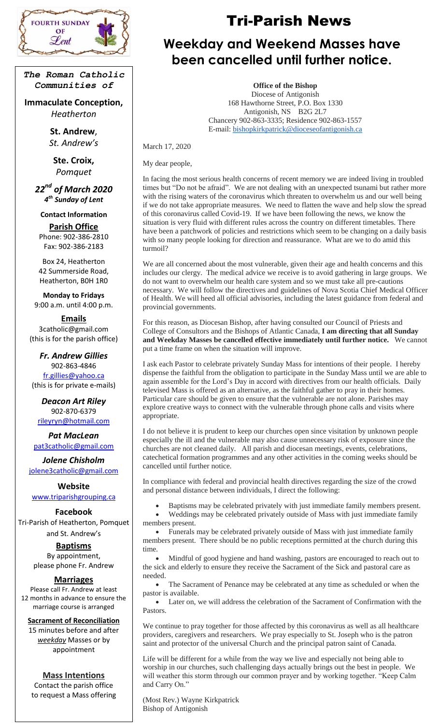

*The Roman Catholic Communities of*

**Immaculate Conception,** *Heatherton*

> **St. Andrew**, *St. Andrew's*

**Ste. Croix,** *Pomquet*

*22nd of March 2020 4 th Sunday of Lent*

**Contact Information**

**Parish Office** Phone: 902-386-2810 Fax: 902-386-2183

Box 24, Heatherton 42 Summerside Road, Heatherton, B0H 1R0

**Monday to Fridays** 9:00 a.m. until 4:00 p.m.

**Emails** 3catholic@gmail.com (this is for the parish office)

*Fr. Andrew Gillies* 902-863-4846 [fr.gillies@yahoo.ca](mailto:fr.gillies@yahoo.ca) (this is for private e-mails)

*Deacon Art Riley* 902-870-6379 [rileyryn@hotmail.com](mailto:rileyryn@hotmail.com)

*Pat MacLean* [pat3catholic@gmail.com](mailto:rileyryn@hotmail.com)

*Jolene Chisholm* [jolene3catholic@gmail.com](mailto:jolene3catholic@gmail.com)

**Website** [www.triparishgrouping.ca](http://www.triparishgrouping.ca/)

**Facebook** Tri-Parish of Heatherton, Pomquet and St. Andrew's

> **Baptisms** By appointment, please phone Fr. Andrew

## **Marriages**

Please call Fr. Andrew at least 12 months in advance to ensure the marriage course is arranged

## **Sacrament of Reconciliation**

15 minutes before and after *weekday* Masses or by appointment

## **Mass Intentions**

Contact the parish office to request a Mass offering

# FOURTH SUNDAY  $\mathcal{L}$   $\mathcal{R}$  **Tri-Parish News**

# *Lent* $\begin{matrix} \frac{1}{2} & \frac{1}{2} \\ \frac{1}{2} & \frac{1}{2} \end{matrix}$  **Weekday and Weekend Masses have been cancelled until further notice.**

**Office of the Bishop**

Diocese of Antigonish 168 Hawthorne Street, P.O. Box 1330 Antigonish, NS B2G 2L7 Chancery 902-863-3335; Residence 902-863-1557 E-mail: [bishopkirkpatrick@dioceseofantigonish.ca](mailto:bishopkirkpatrick@dioceseofantigonish.ca)

March 17, 2020

My dear people,

In facing the most serious health concerns of recent memory we are indeed living in troubled times but "Do not be afraid". We are not dealing with an unexpected tsunami but rather more with the rising waters of the coronavirus which threaten to overwhelm us and our well being if we do not take appropriate measures. We need to flatten the wave and help slow the spread of this coronavirus called Covid-19. If we have been following the news, we know the situation is very fluid with different rules across the country on different timetables. There have been a patchwork of policies and restrictions which seem to be changing on a daily basis with so many people looking for direction and reassurance. What are we to do amid this turmoil?

We are all concerned about the most vulnerable, given their age and health concerns and this includes our clergy. The medical advice we receive is to avoid gathering in large groups. We do not want to overwhelm our health care system and so we must take all pre-cautions necessary. We will follow the directives and guidelines of Nova Scotia Chief Medical Officer of Health. We will heed all official advisories, including the latest guidance from federal and provincial governments.

For this reason, as Diocesan Bishop, after having consulted our Council of Priests and College of Consultors and the Bishops of Atlantic Canada, **I am directing that all Sunday and Weekday Masses be cancelled effective immediately until further notice.** We cannot put a time frame on when the situation will improve.

I ask each Pastor to celebrate privately Sunday Mass for intentions of their people. I hereby dispense the faithful from the obligation to participate in the Sunday Mass until we are able to again assemble for the Lord's Day in accord with directives from our health officials. Daily televised Mass is offered as an alternative, as the faithful gather to pray in their homes. Particular care should be given to ensure that the vulnerable are not alone. Parishes may explore creative ways to connect with the vulnerable through phone calls and visits where appropriate.

I do not believe it is prudent to keep our churches open since visitation by unknown people especially the ill and the vulnerable may also cause unnecessary risk of exposure since the churches are not cleaned daily. All parish and diocesan meetings, events, celebrations, catechetical formation programmes and any other activities in the coming weeks should be cancelled until further notice.

In compliance with federal and provincial health directives regarding the size of the crowd and personal distance between individuals, I direct the following:

Baptisms may be celebrated privately with just immediate family members present.

 Weddings may be celebrated privately outside of Mass with just immediate family members present.

• Funerals may be celebrated privately outside of Mass with just immediate family members present. There should be no public receptions permitted at the church during this time.

 Mindful of good hygiene and hand washing, pastors are encouraged to reach out to the sick and elderly to ensure they receive the Sacrament of the Sick and pastoral care as needed.

 The Sacrament of Penance may be celebrated at any time as scheduled or when the pastor is available.

 Later on, we will address the celebration of the Sacrament of Confirmation with the Pastors.

We continue to pray together for those affected by this coronavirus as well as all healthcare providers, caregivers and researchers. We pray especially to St. Joseph who is the patron saint and protector of the universal Church and the principal patron saint of Canada.

Life will be different for a while from the way we live and especially not being able to worship in our churches, such challenging days actually brings out the best in people. We will weather this storm through our common prayer and by working together. "Keep Calm and Carry On."

(Most Rev.) Wayne Kirkpatrick Bishop of Antigonish